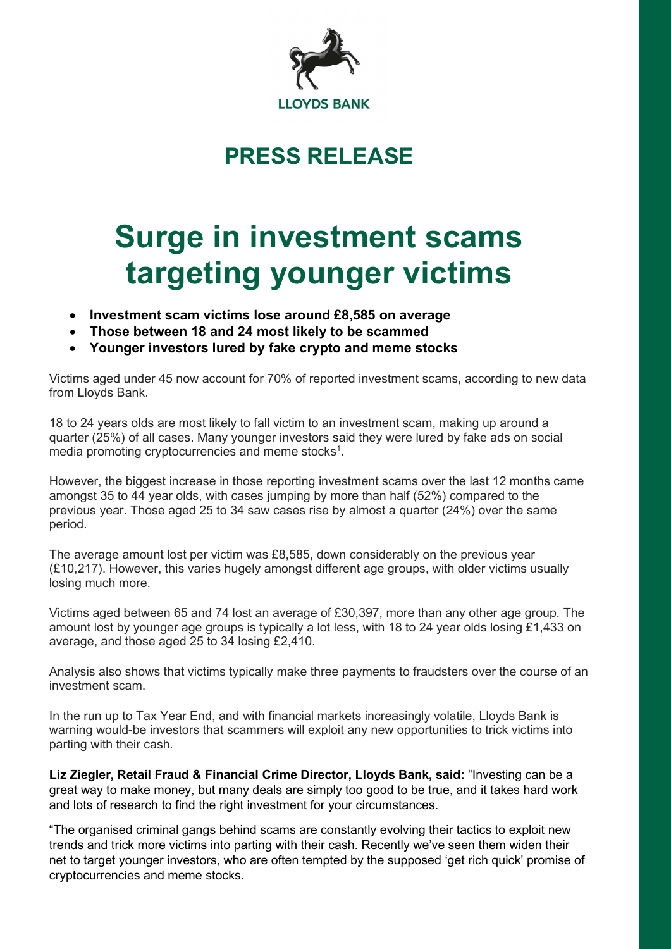

# PRESS RELEASE

# Surge in investment scams targeting younger victims

- Investment scam victims lose around £8,585 on average
- Those between 18 and 24 most likely to be scammed
- Younger investors lured by fake crypto and meme stocks

Victims aged under 45 now account for 70% of reported investment scams, according to new data from Lloyds Bank.

18 to 24 years olds are most likely to fall victim to an investment scam, making up around a quarter (25%) of all cases. Many younger investors said they were lured by fake ads on social media promoting cryptocurrencies and meme stocks<sup>1</sup>.

However, the biggest increase in those reporting investment scams over the last 12 months came amongst 35 to 44 year olds, with cases jumping by more than half (52%) compared to the previous year. Those aged 25 to 34 saw cases rise by almost a quarter (24%) over the same period.

The average amount lost per victim was £8,585, down considerably on the previous year (£10,217). However, this varies hugely amongst different age groups, with older victims usually losing much more.

Victims aged between 65 and 74 lost an average of £30,397, more than any other age group. The amount lost by younger age groups is typically a lot less, with 18 to 24 year olds losing £1,433 on average, and those aged 25 to 34 losing £2,410.

Analysis also shows that victims typically make three payments to fraudsters over the course of an investment scam.

In the run up to Tax Year End, and with financial markets increasingly volatile, Lloyds Bank is warning would-be investors that scammers will exploit any new opportunities to trick victims into parting with their cash.

Liz Ziegler, Retail Fraud & Financial Crime Director, Lloyds Bank, said: "Investing can be a great way to make money, but many deals are simply too good to be true, and it takes hard work and lots of research to find the right investment for your circumstances.

"The organised criminal gangs behind scams are constantly evolving their tactics to exploit new trends and trick more victims into parting with their cash. Recently we've seen them widen their net to target younger investors, who are often tempted by the supposed 'get rich quick' promise of cryptocurrencies and meme stocks.